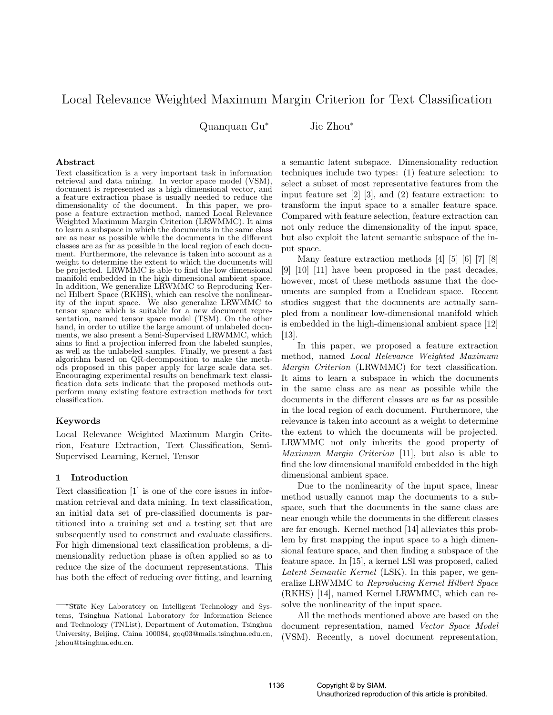# Local Relevance Weighted Maximum Margin Criterion for Text Classification

Quanquan Gu<sup>∗</sup> Jie Zhou<sup>∗</sup>

# Abstract

Text classification is a very important task in information retrieval and data mining. In vector space model (VSM), document is represented as a high dimensional vector, and a feature extraction phase is usually needed to reduce the dimensionality of the document. In this paper, we propose a feature extraction method, named Local Relevance Weighted Maximum Margin Criterion (LRWMMC). It aims to learn a subspace in which the documents in the same class are as near as possible while the documents in the different classes are as far as possible in the local region of each document. Furthermore, the relevance is taken into account as a weight to determine the extent to which the documents will be projected. LRWMMC is able to find the low dimensional manifold embedded in the high dimensional ambient space. In addition, We generalize LRWMMC to Reproducing Kernel Hilbert Space (RKHS), which can resolve the nonlinearity of the input space. We also generalize LRWMMC to tensor space which is suitable for a new document representation, named tensor space model (TSM). On the other hand, in order to utilize the large amount of unlabeled documents, we also present a Semi-Supervised LRWMMC, which aims to find a projection inferred from the labeled samples, as well as the unlabeled samples. Finally, we present a fast algorithm based on QR-decomposition to make the methods proposed in this paper apply for large scale data set. Encouraging experimental results on benchmark text classification data sets indicate that the proposed methods outperform many existing feature extraction methods for text classification.

# Keywords

Local Relevance Weighted Maximum Margin Criterion, Feature Extraction, Text Classification, Semi-Supervised Learning, Kernel, Tensor

#### 1 Introduction

Text classification [1] is one of the core issues in information retrieval and data mining. In text classification, an initial data set of pre-classified documents is partitioned into a training set and a testing set that are subsequently used to construct and evaluate classifiers. For high dimensional text classification problems, a dimensionality reduction phase is often applied so as to reduce the size of the document representations. This has both the effect of reducing over fitting, and learning

a semantic latent subspace. Dimensionality reduction techniques include two types: (1) feature selection: to select a subset of most representative features from the input feature set [2] [3], and (2) feature extraction: to transform the input space to a smaller feature space. Compared with feature selection, feature extraction can not only reduce the dimensionality of the input space, but also exploit the latent semantic subspace of the input space.

Many feature extraction methods [4] [5] [6] [7] [8] [9] [10] [11] have been proposed in the past decades, however, most of these methods assume that the documents are sampled from a Euclidean space. Recent studies suggest that the documents are actually sampled from a nonlinear low-dimensional manifold which is embedded in the high-dimensional ambient space [12] [13].

In this paper, we proposed a feature extraction method, named Local Relevance Weighted Maximum Margin Criterion (LRWMMC) for text classification. It aims to learn a subspace in which the documents in the same class are as near as possible while the documents in the different classes are as far as possible in the local region of each document. Furthermore, the relevance is taken into account as a weight to determine the extent to which the documents will be projected. LRWMMC not only inherits the good property of Maximum Margin Criterion [11], but also is able to find the low dimensional manifold embedded in the high dimensional ambient space.

Due to the nonlinearity of the input space, linear method usually cannot map the documents to a subspace, such that the documents in the same class are near enough while the documents in the different classes are far enough. Kernel method [14] alleviates this problem by first mapping the input space to a high dimensional feature space, and then finding a subspace of the feature space. In [15], a kernel LSI was proposed, called Latent Semantic Kernel (LSK). In this paper, we generalize LRWMMC to Reproducing Kernel Hilbert Space (RKHS) [14], named Kernel LRWMMC, which can resolve the nonlinearity of the input space.

All the methods mentioned above are based on the document representation, named Vector Space Model (VSM). Recently, a novel document representation,

<sup>∗</sup>State Key Laboratory on Intelligent Technology and Systems, Tsinghua National Laboratory for Information Science and Technology (TNList), Department of Automation, Tsinghua University, Beijing, China 100084, gqq03@mails.tsinghua.edu.cn, jzhou@tsinghua.edu.cn.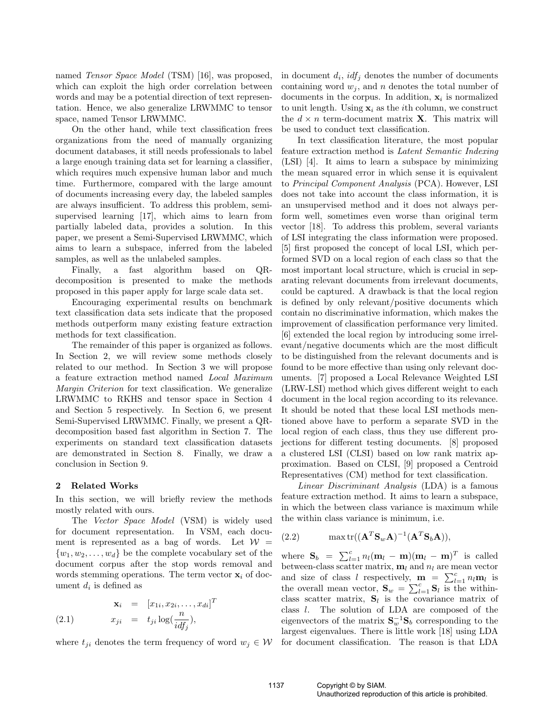named Tensor Space Model (TSM) [16], was proposed, which can exploit the high order correlation between words and may be a potential direction of text representation. Hence, we also generalize LRWMMC to tensor space, named Tensor LRWMMC.

On the other hand, while text classification frees organizations from the need of manually organizing document databases, it still needs professionals to label a large enough training data set for learning a classifier, which requires much expensive human labor and much time. Furthermore, compared with the large amount of documents increasing every day, the labeled samples are always insufficient. To address this problem, semisupervised learning [17], which aims to learn from partially labeled data, provides a solution. In this paper, we present a Semi-Supervised LRWMMC, which aims to learn a subspace, inferred from the labeled samples, as well as the unlabeled samples.

Finally, a fast algorithm based on QRdecomposition is presented to make the methods proposed in this paper apply for large scale data set.

Encouraging experimental results on benchmark text classification data sets indicate that the proposed methods outperform many existing feature extraction methods for text classification.

The remainder of this paper is organized as follows. In Section 2, we will review some methods closely related to our method. In Section 3 we will propose a feature extraction method named Local Maximum Margin Criterion for text classification. We generalize LRWMMC to RKHS and tensor space in Section 4 and Section 5 respectively. In Section 6, we present Semi-Supervised LRWMMC. Finally, we present a QRdecomposition based fast algorithm in Section 7. The experiments on standard text classification datasets are demonstrated in Section 8. Finally, we draw a conclusion in Section 9.

### 2 Related Works

In this section, we will briefly review the methods mostly related with ours.

The Vector Space Model (VSM) is widely used for document representation. In VSM, each document is represented as a bag of words. Let  $W =$  $\{w_1, w_2, \ldots, w_d\}$  be the complete vocabulary set of the document corpus after the stop words removal and words stemming operations. The term vector  $x_i$  of document  $d_i$  is defined as

T

$$
\mathbf{x}_i = [x_{1i}, x_{2i}, \dots, x_{di}]
$$
  
(2.1) 
$$
x_{ji} = t_{ji} \log(\frac{n}{idf_j}),
$$

where  $t_{ii}$  denotes the term frequency of word  $w_i \in \mathcal{W}$ 

in document  $d_i$ ,  $\mathit{idf}_j$  denotes the number of documents containing word  $w_i$ , and n denotes the total number of documents in the corpus. In addition,  $x_i$  is normalized to unit length. Using  $x_i$  as the *i*th column, we construct the  $d \times n$  term-document matrix **X**. This matrix will be used to conduct text classification.

In text classification literature, the most popular feature extraction method is Latent Semantic Indexing (LSI) [4]. It aims to learn a subspace by minimizing the mean squared error in which sense it is equivalent to Principal Component Analysis (PCA). However, LSI does not take into account the class information, it is an unsupervised method and it does not always perform well, sometimes even worse than original term vector [18]. To address this problem, several variants of LSI integrating the class information were proposed. [5] first proposed the concept of local LSI, which performed SVD on a local region of each class so that the most important local structure, which is crucial in separating relevant documents from irrelevant documents, could be captured. A drawback is that the local region is defined by only relevant/positive documents which contain no discriminative information, which makes the improvement of classification performance very limited. [6] extended the local region by introducing some irrelevant/negative documents which are the most difficult to be distinguished from the relevant documents and is found to be more effective than using only relevant documents. [7] proposed a Local Relevance Weighted LSI (LRW-LSI) method which gives different weight to each document in the local region according to its relevance. It should be noted that these local LSI methods mentioned above have to perform a separate SVD in the local region of each class, thus they use different projections for different testing documents. [8] proposed a clustered LSI (CLSI) based on low rank matrix approximation. Based on CLSI, [9] proposed a Centroid Representatives (CM) method for text classification.

Linear Discriminant Analysis (LDA) is a famous feature extraction method. It aims to learn a subspace, in which the between class variance is maximum while the within class variance is minimum, i.e.

$$
(2.2) \qquad \max \text{tr}((\mathbf{A}^T \mathbf{S}_w \mathbf{A})^{-1} (\mathbf{A}^T \mathbf{S}_b \mathbf{A})),
$$

where  $\mathbf{S}_b = \sum_{l=1}^c n_l (\mathbf{m}_l - \mathbf{m})(\mathbf{m}_l - \mathbf{m})^T$  is called between-class scatter matrix,  $\mathbf{m}_l$  and  $n_l$  are mean vector between-class scatter matrix,  $\mathbf{m}_l$  and  $n_l$  are mean vector<br>and size of class l respectively,  $\mathbf{m} = \sum_{l=1}^{c} n_l \mathbf{m}_l$  is and size of class t respectively,  $\mathbf{m} = \sum_{l=1}^{n} n_l \mathbf{m}_l$  is<br>the overall mean vector,  $\mathbf{S}_w = \sum_{l=1}^{c} \mathbf{S}_l$  is the withinclass scatter matrix,  $S_l$  is the covariance matrix of class l. The solution of LDA are composed of the eigenvectors of the matrix  $S_w^{-1}S_b$  corresponding to the largest eigenvalues. There is little work [18] using LDA for document classification. The reason is that LDA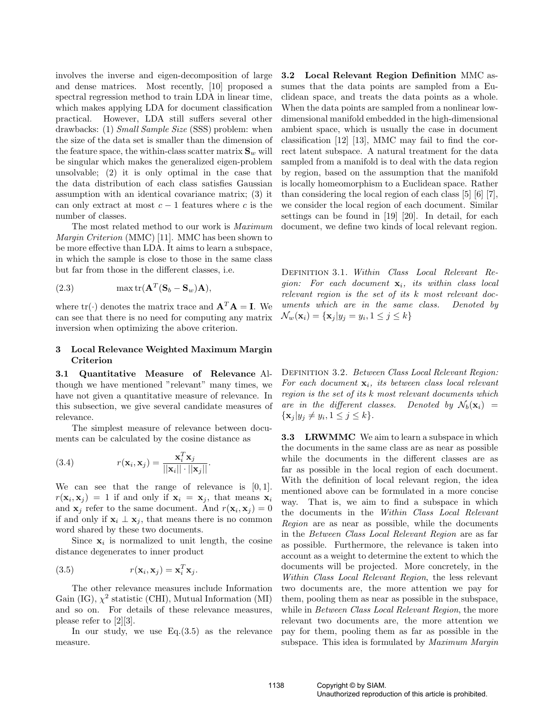involves the inverse and eigen-decomposition of large and dense matrices. Most recently, [10] proposed a spectral regression method to train LDA in linear time, which makes applying LDA for document classification practical. However, LDA still suffers several other drawbacks: (1) Small Sample Size (SSS) problem: when the size of the data set is smaller than the dimension of the feature space, the within-class scatter matrix  $\mathbf{S}_w$  will be singular which makes the generalized eigen-problem unsolvable; (2) it is only optimal in the case that the data distribution of each class satisfies Gaussian assumption with an identical covariance matrix; (3) it can only extract at most  $c - 1$  features where c is the number of classes.

The most related method to our work is Maximum Margin Criterion (MMC) [11]. MMC has been shown to be more effective than LDA. It aims to learn a subspace, in which the sample is close to those in the same class but far from those in the different classes, i.e.

(2.3) 
$$
\max \text{tr}(\mathbf{A}^T(\mathbf{S}_b - \mathbf{S}_w)\mathbf{A}),
$$

where  $tr(\cdot)$  denotes the matrix trace and  $\mathbf{A}^T \mathbf{A} = \mathbf{I}$ . We can see that there is no need for computing any matrix inversion when optimizing the above criterion.

# 3 Local Relevance Weighted Maximum Margin Criterion

3.1 Quantitative Measure of Relevance Although we have mentioned "relevant" many times, we have not given a quantitative measure of relevance. In this subsection, we give several candidate measures of relevance.

The simplest measure of relevance between documents can be calculated by the cosine distance as

(3.4) 
$$
r(\mathbf{x}_i, \mathbf{x}_j) = \frac{\mathbf{x}_i^T \mathbf{x}_j}{||\mathbf{x}_i|| \cdot ||\mathbf{x}_j||}.
$$

We can see that the range of relevance is  $[0, 1]$ .  $r(\mathbf{x}_i, \mathbf{x}_j) = 1$  if and only if  $\mathbf{x}_i = \mathbf{x}_j$ , that means  $\mathbf{x}_i$ and  $\mathbf{x}_j$  refer to the same document. And  $r(\mathbf{x}_i, \mathbf{x}_j) = 0$ if and only if  $\mathbf{x}_i \perp \mathbf{x}_j$ , that means there is no common word shared by these two documents.

Since  $x_i$  is normalized to unit length, the cosine distance degenerates to inner product

(3.5) 
$$
r(\mathbf{x}_i, \mathbf{x}_j) = \mathbf{x}_i^T \mathbf{x}_j.
$$

The other relevance measures include Information Gain (IG),  $\chi^2$  statistic (CHI), Mutual Information (MI) and so on. For details of these relevance measures, please refer to [2][3].

In our study, we use Eq.(3.5) as the relevance measure.

3.2 Local Relevant Region Definition MMC assumes that the data points are sampled from a Euclidean space, and treats the data points as a whole. When the data points are sampled from a nonlinear lowdimensional manifold embedded in the high-dimensional ambient space, which is usually the case in document classification [12] [13], MMC may fail to find the correct latent subspace. A natural treatment for the data sampled from a manifold is to deal with the data region by region, based on the assumption that the manifold is locally homeomorphism to a Euclidean space. Rather than considering the local region of each class [5] [6] [7], we consider the local region of each document. Similar settings can be found in [19] [20]. In detail, for each document, we define two kinds of local relevant region.

Definition 3.1. Within Class Local Relevant Region: For each document  $x_i$ , its within class local relevant region is the set of its k most relevant documents which are in the same class. Denoted by  $\mathcal{N}_w(\mathbf{x}_i) = {\mathbf{x}_j | y_j = y_i, 1 \le j \le k}$ 

DEFINITION 3.2. Between Class Local Relevant Region: For each document  $x_i$ , its between class local relevant region is the set of its k most relevant documents which are in the different classes. Denoted by  $\mathcal{N}_b(\mathbf{x}_i)$  =  $\{\mathbf x_j | y_j \neq y_i, 1 \leq j \leq k\}.$ 

**3.3** LRWMMC We aim to learn a subspace in which the documents in the same class are as near as possible while the documents in the different classes are as far as possible in the local region of each document. With the definition of local relevant region, the idea mentioned above can be formulated in a more concise way. That is, we aim to find a subspace in which the documents in the Within Class Local Relevant Region are as near as possible, while the documents in the Between Class Local Relevant Region are as far as possible. Furthermore, the relevance is taken into account as a weight to determine the extent to which the documents will be projected. More concretely, in the Within Class Local Relevant Region, the less relevant two documents are, the more attention we pay for them, pooling them as near as possible in the subspace, while in *Between Class Local Relevant Region*, the more relevant two documents are, the more attention we pay for them, pooling them as far as possible in the subspace. This idea is formulated by *Maximum Margin*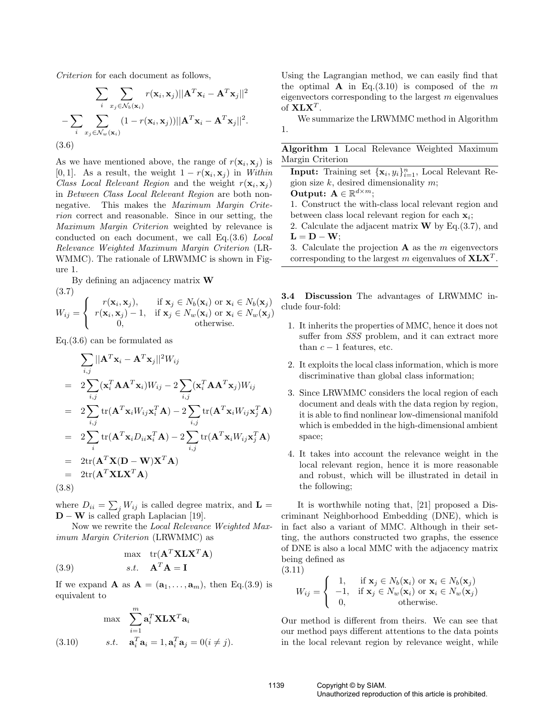Criterion for each document as follows,

$$
\sum_{i} \sum_{x_j \in \mathcal{N}_b(\mathbf{x}_i)} r(\mathbf{x}_i, \mathbf{x}_j) ||\mathbf{A}^T \mathbf{x}_i - \mathbf{A}^T \mathbf{x}_j||^2
$$

$$
- \sum_{i} \sum_{x_j \in \mathcal{N}_w(\mathbf{x}_i)} (1 - r(\mathbf{x}_i, \mathbf{x}_j)) ||\mathbf{A}^T \mathbf{x}_i - \mathbf{A}^T \mathbf{x}_j||^2.
$$
(3.6)

As we have mentioned above, the range of  $r(\mathbf{x}_i, \mathbf{x}_j)$  is [0, 1]. As a result, the weight  $1 - r(\mathbf{x}_i, \mathbf{x}_j)$  in Within Class Local Relevant Region and the weight  $r(\mathbf{x}_i, \mathbf{x}_j)$ in Between Class Local Relevant Region are both nonnegative. This makes the Maximum Margin Criterion correct and reasonable. Since in our setting, the Maximum Margin Criterion weighted by relevance is conducted on each document, we call Eq.(3.6) Local Relevance Weighted Maximum Margin Criterion (LR-WMMC). The rationale of LRWMMC is shown in Figure 1.

By defining an adjacency matrix W (3.7)

$$
(3.7)
$$
  
\n
$$
W_{ij} = \begin{cases} r(\mathbf{x}_i, \mathbf{x}_j), & \text{if } \mathbf{x}_j \in N_b(\mathbf{x}_i) \text{ or } \mathbf{x}_i \in N_b(\mathbf{x}_j) \\ r(\mathbf{x}_i, \mathbf{x}_j) - 1, & \text{if } \mathbf{x}_j \in N_w(\mathbf{x}_i) \text{ or } \mathbf{x}_i \in N_w(\mathbf{x}_j) \\ 0, & \text{otherwise.} \end{cases}
$$

Eq.(3.6) can be formulated as

$$
\sum_{i,j} ||\mathbf{A}^T \mathbf{x}_i - \mathbf{A}^T \mathbf{x}_j||^2 W_{ij}
$$
\n
$$
= 2 \sum_{i,j} (\mathbf{x}_i^T \mathbf{A} \mathbf{A}^T \mathbf{x}_i) W_{ij} - 2 \sum_{i,j} (\mathbf{x}_i^T \mathbf{A} \mathbf{A}^T \mathbf{x}_j) W_{ij}
$$
\n
$$
= 2 \sum_{i,j} tr(\mathbf{A}^T \mathbf{x}_i W_{ij} \mathbf{x}_i^T \mathbf{A}) - 2 \sum_{i,j} tr(\mathbf{A}^T \mathbf{x}_i W_{ij} \mathbf{x}_j^T \mathbf{A})
$$
\n
$$
= 2 \sum_{i} tr(\mathbf{A}^T \mathbf{x}_i D_{ii} \mathbf{x}_i^T \mathbf{A}) - 2 \sum_{i,j} tr(\mathbf{A}^T \mathbf{x}_i W_{ij} \mathbf{x}_j^T \mathbf{A})
$$
\n
$$
= 2 tr(\mathbf{A}^T \mathbf{X} (\mathbf{D} - \mathbf{W}) \mathbf{X}^T \mathbf{A})
$$
\n
$$
= 2 tr(\mathbf{A}^T \mathbf{X} \mathbf{L} \mathbf{X}^T \mathbf{A})
$$
\n(3.8)

where  $D_{ii} = \sum_j W_{ij}$  is called degree matrix, and  $\mathbf{L} =$  $\mathbf{D} - \mathbf{W}$  is called graph Laplacian [19].

Now we rewrite the Local Relevance Weighted Maximum Margin Criterion (LRWMMC) as

(3.9) 
$$
\max_{\mathbf{S}.t.} \text{tr}(\mathbf{A}^T \mathbf{X} \mathbf{L} \mathbf{X}^T \mathbf{A})
$$

If we expand **A** as  $\mathbf{A} = (\mathbf{a}_1, \dots, \mathbf{a}_m)$ , then Eq.(3.9) is equivalent to

$$
\max \sum_{i=1}^{m} \mathbf{a}_i^T \mathbf{X} \mathbf{L} \mathbf{X}^T \mathbf{a}_i
$$
  
(3.10) 
$$
s.t. \quad \mathbf{a}_i^T \mathbf{a}_i = 1, \mathbf{a}_i^T \mathbf{a}_j = 0 (i \neq j).
$$

Using the Lagrangian method, we can easily find that the optimal **A** in Eq.(3.10) is composed of the m eigenvectors corresponding to the largest  $m$  eigenvalues of  $X L X^T$ .

We summarize the LRWMMC method in Algorithm 1.

| Algorithm 1 Local Relevance Weighted Maximum |  |  |  |
|----------------------------------------------|--|--|--|
| Margin Criterion                             |  |  |  |

**Input:** Training set  $\{\mathbf{x}_i, y_i\}_{i=1}^n$ , Local Relevant Region size  $k$ , desired dimensionality  $m$ ;

Output:  $\mathbf{A} \in \mathbb{R}^{d \times m}$ ;

1. Construct the with-class local relevant region and between class local relevant region for each  $x_i$ ;

- 2. Calculate the adjacent matrix  $\bf{W}$  by Eq.(3.7), and  $L = D - W;$
- 3. Calculate the projection  $A$  as the m eigenvectors corresponding to the largest m eigenvalues of  $X L X<sup>T</sup>$ .

3.4 Discussion The advantages of LRWMMC include four-fold:

- 1. It inherits the properties of MMC, hence it does not suffer from  $SSS$  problem, and it can extract more than  $c - 1$  features, etc.
- 2. It exploits the local class information, which is more discriminative than global class information;
- 3. Since LRWMMC considers the local region of each document and deals with the data region by region, it is able to find nonlinear low-dimensional manifold which is embedded in the high-dimensional ambient space;
- 4. It takes into account the relevance weight in the local relevant region, hence it is more reasonable and robust, which will be illustrated in detail in the following;

It is worthwhile noting that, [21] proposed a Discriminant Neighborhood Embedding (DNE), which is in fact also a variant of MMC. Although in their setting, the authors constructed two graphs, the essence of DNE is also a local MMC with the adjacency matrix being defined as (3.11)

1)  
\n
$$
W_{ij} = \begin{cases}\n1, & \text{if } \mathbf{x}_j \in N_b(\mathbf{x}_i) \text{ or } \mathbf{x}_i \in N_b(\mathbf{x}_j) \\
-1, & \text{if } \mathbf{x}_j \in N_w(\mathbf{x}_i) \text{ or } \mathbf{x}_i \in N_w(\mathbf{x}_j) \\
0, & \text{otherwise.} \n\end{cases}
$$

Our method is different from theirs. We can see that our method pays different attentions to the data points in the local relevant region by relevance weight, while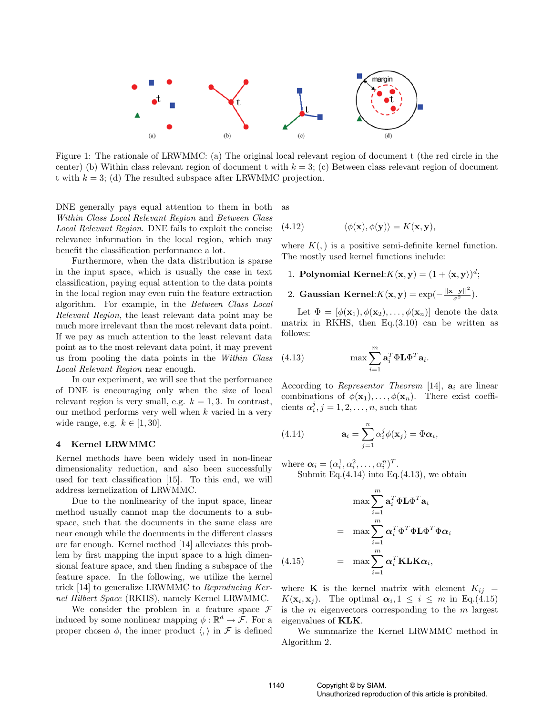

Figure 1: The rationale of LRWMMC: (a) The original local relevant region of document t (the red circle in the center) (b) Within class relevant region of document t with  $k = 3$ ; (c) Between class relevant region of document t with  $k = 3$ ; (d) The resulted subspace after LRWMMC projection.

DNE generally pays equal attention to them in both Within Class Local Relevant Region and Between Class Local Relevant Region. DNE fails to exploit the concise relevance information in the local region, which may benefit the classification performance a lot.

Furthermore, when the data distribution is sparse in the input space, which is usually the case in text classification, paying equal attention to the data points in the local region may even ruin the feature extraction algorithm. For example, in the Between Class Local Relevant Region, the least relevant data point may be much more irrelevant than the most relevant data point. If we pay as much attention to the least relevant data point as to the most relevant data point, it may prevent us from pooling the data points in the Within Class Local Relevant Region near enough.

In our experiment, we will see that the performance of DNE is encouraging only when the size of local relevant region is very small, e.g.  $k = 1, 3$ . In contrast, our method performs very well when  $k$  varied in a very wide range, e.g.  $k \in [1, 30]$ .

#### 4 Kernel LRWMMC

Kernel methods have been widely used in non-linear dimensionality reduction, and also been successfully used for text classification [15]. To this end, we will address kernelization of LRWMMC.

Due to the nonlinearity of the input space, linear method usually cannot map the documents to a subspace, such that the documents in the same class are near enough while the documents in the different classes are far enough. Kernel method [14] alleviates this problem by first mapping the input space to a high dimensional feature space, and then finding a subspace of the feature space. In the following, we utilize the kernel trick [14] to generalize LRWMMC to Reproducing Kernel Hilbert Space (RKHS), namely Kernel LRWMMC.

We consider the problem in a feature space  $\mathcal F$ induced by some nonlinear mapping  $\phi : \mathbb{R}^d \to \mathcal{F}$ . For a proper chosen  $\phi$ , the inner product  $\langle , \rangle$  in F is defined as

(4.12) 
$$
\langle \phi(\mathbf{x}), \phi(\mathbf{y}) \rangle = K(\mathbf{x}, \mathbf{y}),
$$

where  $K(.)$  is a positive semi-definite kernel function. The mostly used kernel functions include:

- 1. Polynomial Kernel: $K(\mathbf{x}, \mathbf{y}) = (1 + \langle \mathbf{x}, \mathbf{y} \rangle)^d$ ;
- 2. Gaussian Kernel: $K(\mathbf{x}, \mathbf{y}) = \exp(-\frac{||\mathbf{x} \mathbf{y}||^2}{\sigma^2})$ .

Let  $\Phi = [\phi(\mathbf{x}_1), \phi(\mathbf{x}_2), \dots, \phi(\mathbf{x}_n)]$  denote the data matrix in RKHS, then  $Eq.(3.10)$  can be written as follows:

(4.13) 
$$
\max \sum_{i=1}^{m} \mathbf{a}_i^T \Phi \mathbf{L} \Phi^T \mathbf{a}_i.
$$

According to Representor Theorem [14],  $a_i$  are linear combinations of  $\phi(\mathbf{x}_1), \ldots, \phi(\mathbf{x}_n)$ . There exist coefficients  $\alpha_i^j, j = 1, 2, \ldots, n$ , such that

(4.14) 
$$
\mathbf{a}_{i} = \sum_{j=1}^{n} \alpha_{i}^{j} \phi(\mathbf{x}_{j}) = \Phi \alpha_{i},
$$

where  $\boldsymbol{\alpha}_i = (\alpha_i^1, \alpha_i^2, \dots, \alpha_i^n)^T$ . Submit Eq. $(4.14)$  into Eq. $(4.13)$ , we obtain

$$
\max \sum_{i=1}^{m} \mathbf{a}_i^T \Phi \mathbf{L} \Phi^T \mathbf{a}_i
$$

$$
= \max \sum_{i=1}^{m} \alpha_i^T \Phi^T \Phi \mathbf{L} \Phi^T \Phi \alpha_i
$$

$$
(4.15) \qquad = \max \sum_{i=1}^{m} \alpha_i^T \mathbf{K} \mathbf{L} \mathbf{K} \alpha_i,
$$

where **K** is the kernel matrix with element  $K_{ij}$  =  $K(\mathbf{x}_i, \mathbf{x}_j)$ . The optimal  $\alpha_i, 1 \leq i \leq m$  in Eq.(4.15) is the  $m$  eigenvectors corresponding to the  $m$  largest eigenvalues of KLK.

We summarize the Kernel LRWMMC method in Algorithm 2.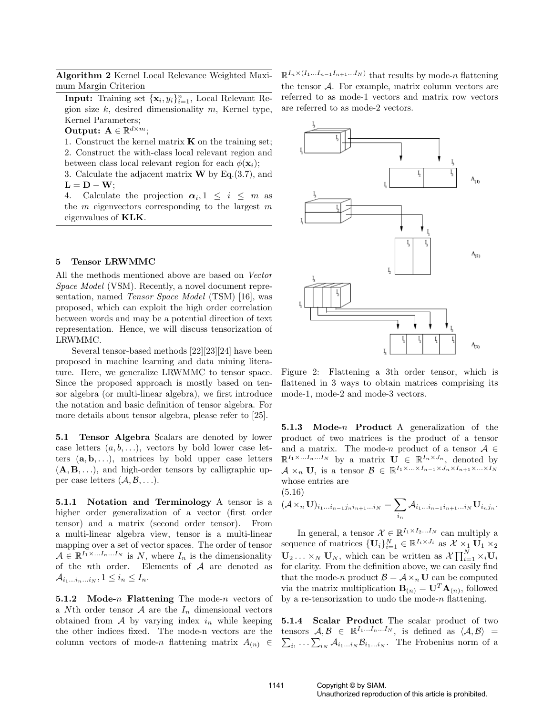Algorithm 2 Kernel Local Relevance Weighted Maximum Margin Criterion

**Input:** Training set  $\{\mathbf{x}_i, y_i\}_{i=1}^n$ , Local Relevant Region size  $k$ , desired dimensionality  $m$ , Kernel type, Kernel Parameters;

Output:  $\mathbf{A} \in \mathbb{R}^{d \times m}$ ;

1. Construct the kernel matrix  $\bf{K}$  on the training set; 2. Construct the with-class local relevant region and between class local relevant region for each  $\phi(\mathbf{x}_i)$ ;

3. Calculate the adjacent matrix  $W$  by Eq.(3.7), and  $L = D - W$ ;

4. Calculate the projection  $\alpha_i, 1 \leq i \leq m$  as the  $m$  eigenvectors corresponding to the largest  $m$ eigenvalues of KLK.

## 5 Tensor LRWMMC

All the methods mentioned above are based on Vector Space Model (VSM). Recently, a novel document representation, named Tensor Space Model (TSM) [16], was proposed, which can exploit the high order correlation between words and may be a potential direction of text representation. Hence, we will discuss tensorization of LRWMMC.

Several tensor-based methods [22][23][24] have been proposed in machine learning and data mining literature. Here, we generalize LRWMMC to tensor space. Since the proposed approach is mostly based on tensor algebra (or multi-linear algebra), we first introduce the notation and basic definition of tensor algebra. For more details about tensor algebra, please refer to [25].

5.1 Tensor Algebra Scalars are denoted by lower case letters  $(a, b, \ldots)$ , vectors by bold lower case letters  $(a, b, \ldots)$ , matrices by bold upper case letters  $(A, B, \ldots)$ , and high-order tensors by calligraphic upper case letters  $(\mathcal{A}, \mathcal{B}, \ldots)$ .

5.1.1 Notation and Terminology A tensor is a higher order generalization of a vector (first order tensor) and a matrix (second order tensor). From a multi-linear algebra view, tensor is a multi-linear mapping over a set of vector spaces. The order of tensor  $A \in \mathbb{R}^{I_1 \times \ldots I_n \ldots I_N}$  is N, where  $I_n$  is the dimensionality of the nth order. Elements of A are denoted as  $\mathcal{A}_{i_1...i_n...i_N}$ ,  $1 \leq i_n \leq I_n$ .

5.1.2 Mode-n Flattening The mode-n vectors of a Nth order tensor  $A$  are the  $I_n$  dimensional vectors obtained from  $A$  by varying index  $i_n$  while keeping the other indices fixed. The mode-n vectors are the column vectors of mode-n flattening matrix  $A_{(n)} \in$ 

 $\mathbb{R}^{I_n \times (I_1...I_{n-1}I_{n+1}...I_N)}$  that results by mode-*n* flattening the tensor  $A$ . For example, matrix column vectors are referred to as mode-1 vectors and matrix row vectors are referred to as mode-2 vectors.



Figure 2: Flattening a 3th order tensor, which is flattened in 3 ways to obtain matrices comprising its mode-1, mode-2 and mode-3 vectors.

5.1.3 Mode- $n$  Product A generalization of the product of two matrices is the product of a tensor and a matrix. The mode-n product of a tensor  $A \in$  $\mathbb{R}^{I_1 \times \ldots I_n \ldots I_N}$  by a matrix  $\mathbf{U} \in \mathbb{R}^{I_n \times J_n}$ , denoted by  $\mathcal{A} \times_n \mathbf{U}$ , is a tensor  $\mathcal{B} \in \mathbb{R}^{I_1 \times \ldots \times I_{n-1} \times J_n \times I_{n+1} \times \ldots \times I_N}$ whose entries are

(5.16)

$$
(\mathcal{A} \times_n \mathbf{U})_{i_1...i_{n-1}j_n i_{n+1}...i_N} = \sum_{i_n} \mathcal{A}_{i_1...i_{n-1}i_{n+1}...i_N} \mathbf{U}_{i_n j_n}.
$$

In general, a tensor  $\mathcal{X} \in \mathbb{R}^{I_1 \times I_2...I_N}$  can multiply a sequence of matrices  $\{U_i\}_{i=1}^N \in \mathbb{R}^{I_i \times J_i}$  as  $\mathcal{X} \times_1 \mathbf{U}_1 \times_2$ <br>  $\mathbf{U}_1 \times_2 \mathbf{U}_2 \times_1 \mathbf{U}_3$  $\mathbf{U}_2 \dots \times_N \mathbf{U}_N$ , which can be written as  $\mathcal{X} \prod_{i=1}^N \times_i \mathbf{U}_i$ for clarity. From the definition above, we can easily find that the mode-n product  $\mathcal{B} = \mathcal{A} \times_n U$  can be computed via the matrix multiplication  $\mathbf{B}_{(n)} = \mathbf{U}^T \mathbf{A}_{(n)}$ , followed by a re-tensorization to undo the mode- $n$  flattening.

5.1.4 Scalar Product The scalar product of two tensors  $A, B \in \mathbb{R}^{I_1...I_n...I_N}$ , is defined as  $\langle A, B \rangle$  = isors  $A, B \in \mathbb{R}^+$  ", is defined as  $\langle A, B \rangle =$ <br> $i_1 \cdots \sum_{i_N} A_{i_1...i_N} B_{i_1...i_N}$ . The Frobenius norm of a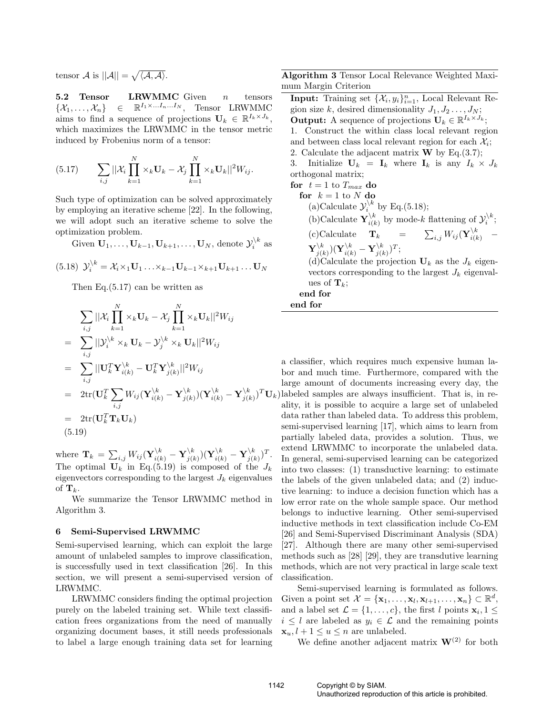tensor  $\mathcal A$  is  $||\mathcal A||=$ p  $\langle A, A \rangle$ .

5.2 Tensor LRWMMC Given  $n$  tensors  $\{\mathcal{X}_1,\ldots,\mathcal{X}_n\}$  $\in \mathbb{R}^{I_1 \times \ldots I_n \ldots I_N}$ , Tensor LRWMMC aims to find a sequence of projections  $\mathbf{U}_k \in \mathbb{R}^{I_k \times J_k}$ , which maximizes the LRWMMC in the tensor metric induced by Frobenius norm of a tensor:

$$
(5.17) \qquad \sum_{i,j} \left\| \mathcal{X}_i \prod_{k=1}^N \times_k \mathbf{U}_k - \mathcal{X}_j \prod_{k=1}^N \times_k \mathbf{U}_k \right\|^2 W_{ij}.
$$

Such type of optimization can be solved approximately by employing an iterative scheme [22]. In the following, we will adopt such an iterative scheme to solve the optimization problem.

Given  $\mathbf{U}_1, \ldots, \mathbf{U}_{k-1}, \mathbf{U}_{k+1}, \ldots, \mathbf{U}_N$ , denote  $\mathcal{Y}_i^{\backslash k}$  as

(5.18) 
$$
\mathcal{Y}_i^{\backslash k} = \mathcal{X}_i \times_1 \mathbf{U}_1 \dots \times_{k-1} \mathbf{U}_{k-1} \times_{k+1} \mathbf{U}_{k+1} \dots \mathbf{U}_N
$$

Then Eq.(5.17) can be written as

$$
\sum_{i,j} ||\mathcal{X}_i \prod_{k=1}^N \times_k \mathbf{U}_k - \mathcal{X}_j \prod_{k=1}^N \times_k \mathbf{U}_k||^2 W_{ij}
$$
\n
$$
= \sum_{i,j} ||\mathcal{Y}_i^{\setminus k} \times_k \mathbf{U}_k - \mathcal{Y}_j^{\setminus k} \times_k \mathbf{U}_k||^2 W_{ij}
$$
\n
$$
= \sum_{i,j} ||\mathbf{U}_k^T \mathbf{Y}_{i(k)}^{\setminus k} - \mathbf{U}_k^T \mathbf{Y}_{j(k)}^{\setminus k}||^2 W_{ij}
$$
\n
$$
= 2 \text{tr}(\mathbf{U}_k^T \sum_{i,j} W_{ij} (\mathbf{Y}_{i(k)}^{\setminus k} - \mathbf{Y}_{j(k)}^{\setminus k}) (\mathbf{Y}_{i(k)}^{\setminus k} - \mathbf{Y}_{j(k)}^{\setminus k})^T \mathbf{U}_k
$$
\n
$$
= 2 \text{tr}(\mathbf{U}_k^T \mathbf{T}_k \mathbf{U}_k)
$$
\n(5.19)

where  $\mathbf{T}_k = \sum_{i,j} W_{ij} (\mathbf{Y}_{i(k)}^{\backslash k} - \mathbf{Y}_{j(k)}^{\backslash k})$  $(\mathbf{Y}_{j(k)}^k)(\mathbf{Y}_{i(k)}^{\backslash k}-\mathbf{Y}_{j(k)}^{\backslash k})$  $\binom{k}{j(k)}$ <sup>T</sup>. The optimal  $U_k$  in Eq.(5.19) is composed of the  $J_k$ eigenvectors corresponding to the largest  $J_k$  eigenvalues of  $\mathbf{T}_k$ .

We summarize the Tensor LRWMMC method in Algorithm 3.

### 6 Semi-Supervised LRWMMC

Semi-supervised learning, which can exploit the large amount of unlabeled samples to improve classification, is successfully used in text classification [26]. In this section, we will present a semi-supervised version of LRWMMC.

LRWMMC considers finding the optimal projection purely on the labeled training set. While text classification frees organizations from the need of manually organizing document bases, it still needs professionals to label a large enough training data set for learning

Algorithm 3 Tensor Local Relevance Weighted Maximum Margin Criterion

**Input:** Training set  $\{\mathcal{X}_i, y_i\}_{i=1}^n$ , Local Relevant Region size k, desired dimensionality  $J_1, J_2, \ldots, J_N$ ;

**Output:** A sequence of projections  $\mathbf{U}_k \in \mathbb{R}^{I_k \times J_k}$ ; 1. Construct the within class local relevant region and between class local relevant region for each  $\mathcal{X}_i$ ; 2. Calculate the adjacent matrix  $\bf{W}$  by Eq.(3.7);

3. Initialize  $U_k = I_k$  where  $I_k$  is any  $I_k \times J_k$ orthogonal matrix;

for  $t = 1$  to  $T_{max}$  do for  $k = 1$  to N do (a)Calculate  $\mathcal{Y}_i^{\backslash k}$  by Eq.(5.18); (b)Calculate  $\mathbf{Y}_{i(k)}^{\backslash k}$  $\setminus_{i(k)}^k$  by mode-k flattening of  $\mathcal{Y}_i^{\setminus k}$ ;  $(c)$ Calculate  $\mathbf{T}_k$  $\sum_{i,j} W_{ij} ( \mathbf{Y}_{i(k)}^{\backslash k} \quad \mathbf{Y}^{\backslash k}_{i0}$  $(\mathbf{Y}_{i(k)}^k)(\mathbf{Y}_{i(k)}^{\backslash k}-\mathbf{Y}_{j(k)}^{\backslash k})$  $\binom{k}{j(k)}T;$ (d)Calculate the projection  $U_k$  as the  $J_k$  eigenvectors corresponding to the largest  $J_k$  eigenvalues of  $\mathbf{T}_k$ ;

end for end for

 ${}^{T}$ **U**<sub>k</sub>) labeled samples are always insufficient. That is, in rea classifier, which requires much expensive human labor and much time. Furthermore, compared with the large amount of documents increasing every day, the ality, it is possible to acquire a large set of unlabeled data rather than labeled data. To address this problem, semi-supervised learning [17], which aims to learn from partially labeled data, provides a solution. Thus, we extend LRWMMC to incorporate the unlabeled data. In general, semi-supervised learning can be categorized into two classes: (1) transductive learning: to estimate the labels of the given unlabeled data; and (2) inductive learning: to induce a decision function which has a low error rate on the whole sample space. Our method belongs to inductive learning. Other semi-supervised inductive methods in text classification include Co-EM [26] and Semi-Supervised Discriminant Analysis (SDA) [27]. Although there are many other semi-supervised methods such as [28] [29], they are transdutive learning methods, which are not very practical in large scale text classification.

Semi-supervised learning is formulated as follows. Given a point set  $\mathcal{X} = {\mathbf{x}_1, \dots, \mathbf{x}_l, \mathbf{x}_{l+1}, \dots, \mathbf{x}_n} \subset \mathbb{R}^d$ , and a label set  $\mathcal{L} = \{1, \ldots, c\}$ , the first l points  $\mathbf{x}_i, 1 \leq$  $i \leq l$  are labeled as  $y_i \in \mathcal{L}$  and the remaining points  $\mathbf{x}_u, l+1 \leq u \leq n$  are unlabeled.

We define another adjacent matrix  $\mathbf{W}^{(2)}$  for both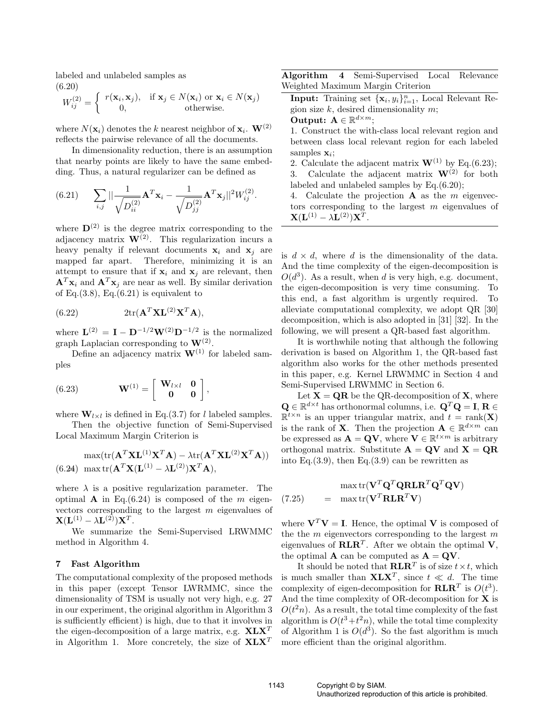labeled and unlabeled samples as (6.20) ½

$$
W_{ij}^{(2)} = \begin{cases} r(\mathbf{x}_i, \mathbf{x}_j), & \text{if } \mathbf{x}_j \in N(\mathbf{x}_i) \text{ or } \mathbf{x}_i \in N(\mathbf{x}_j) \\ 0, & \text{otherwise.} \end{cases}
$$

where  $N(\mathbf{x}_i)$  denotes the k nearest neighbor of  $\mathbf{x}_i$ .  $\mathbf{W}^{(2)}$ reflects the pairwise relevance of all the documents.

In dimensionality reduction, there is an assumption that nearby points are likely to have the same embedding. Thus, a natural regularizer can be defined as

(6.21) 
$$
\sum_{i,j} ||\frac{1}{\sqrt{D_{ii}^{(2)}}} \mathbf{A}^T \mathbf{x}_i - \frac{1}{\sqrt{D_{jj}^{(2)}}} \mathbf{A}^T \mathbf{x}_j||^2 W_{ij}^{(2)}.
$$

where  $\mathbf{D}^{(2)}$  is the degree matrix corresponding to the adjacency matrix  $\mathbf{W}^{(2)}$ . This regularization incurs a heavy penalty if relevant documents  $x_i$  and  $x_j$  are mapped far apart. Therefore, minimizing it is an attempt to ensure that if  $x_i$  and  $x_j$  are relevant, then  ${\bf A}^T {\bf x}_i$  and  ${\bf A}^T {\bf x}_j$  are near as well. By similar derivation of Eq. $(3.8)$ , Eq. $(6.21)$  is equivalent to

(6.22) 
$$
2\mathrm{tr}(\mathbf{A}^T \mathbf{X} \mathbf{L}^{(2)} \mathbf{X}^T \mathbf{A}),
$$

where  $\mathbf{L}^{(2)} = \mathbf{I} - \mathbf{D}^{-1/2}\mathbf{W}^{(2)}\mathbf{D}^{-1/2}$  is the normalized graph Laplacian corresponding to  $W^{(2)}$ .

Define an adjacency matrix  $W^{(1)}$  for labeled samples

(6.23) 
$$
\mathbf{W}^{(1)} = \begin{bmatrix} \mathbf{W}_{l \times l} & \mathbf{0} \\ \mathbf{0} & \mathbf{0} \end{bmatrix},
$$

where  $\mathbf{W}_{l \times l}$  is defined in Eq.(3.7) for l labeled samples.

Then the objective function of Semi-Supervised Local Maximum Margin Criterion is

$$
\max(\text{tr}(\mathbf{A}^T \mathbf{X} \mathbf{L}^{(1)} \mathbf{X}^T \mathbf{A}) - \lambda \text{tr}(\mathbf{A}^T \mathbf{X} \mathbf{L}^{(2)} \mathbf{X}^T \mathbf{A}))
$$
  
(6.24) max tr( $\mathbf{A}^T \mathbf{X} (\mathbf{L}^{(1)} - \lambda \mathbf{L}^{(2)}) \mathbf{X}^T \mathbf{A}$ ),

where  $\lambda$  is a positive regularization parameter. The optimal **A** in Eq.(6.24) is composed of the  $m$  eigenvectors corresponding to the largest m eigenvalues of  $\mathbf{X}(\mathbf{L}^{(1)}-\lambda\mathbf{L}^{(2)})\mathbf{X}^T.$ 

We summarize the Semi-Supervised LRWMMC method in Algorithm 4.

### 7 Fast Algorithm

The computational complexity of the proposed methods in this paper (except Tensor LWRMMC, since the dimensionality of TSM is usually not very high, e.g. 27 in our experiment, the original algorithm in Algorithm 3 is sufficiently efficient) is high, due to that it involves in the eigen-decomposition of a large matrix, e.g.  $X L X^T$ in Algorithm 1. More concretely, the size of  $X L X^T$ 

Algorithm 4 Semi-Supervised Local Relevance Weighted Maximum Margin Criterion

**Input:** Training set  $\{\mathbf{x}_i, y_i\}_{i=1}^n$ , Local Relevant Region size  $k$ , desired dimensionality  $m$ ;

Output:  $\mathbf{A} \in \mathbb{R}^{d \times m}$ ;

- 1. Construct the with-class local relevant region and between class local relevant region for each labeled samples  $\mathbf{x}_i$ ;
- 2. Calculate the adjacent matrix  $\mathbf{W}^{(1)}$  by Eq.(6.23); 3. Calculate the adjacent matrix  $W^{(2)}$  for both labeled and unlabeled samples by Eq.(6.20);

4. Calculate the projection  $A$  as the m eigenvectors corresponding to the largest  $m$  eigenvalues of  $\mathbf{X}(\mathbf{L}^{(1)}-\lambda\mathbf{L}^{(2)})\mathbf{X}^T.$ 

is  $d \times d$ , where d is the dimensionality of the data. And the time complexity of the eigen-decomposition is  $O(d^3)$ . As a result, when d is very high, e.g. document, the eigen-decomposition is very time consuming. To this end, a fast algorithm is urgently required. To alleviate computational complexity, we adopt QR [30] decomposition, which is also adopted in [31] [32]. In the following, we will present a QR-based fast algorithm.

It is worthwhile noting that although the following derivation is based on Algorithm 1, the QR-based fast algorithm also works for the other methods presented in this paper, e.g. Kernel LRWMMC in Section 4 and Semi-Supervised LRWMMC in Section 6.

Let  $X = QR$  be the QR-decomposition of X, where  $\mathbf{Q} \in \mathbb{R}^{d \times t}$  has orthonormal columns, i.e.  $\mathbf{Q}^T \mathbf{Q} = \mathbf{I}, \mathbf{R} \in$  $\mathbb{R}^{t \times n}$  is an upper triangular matrix, and  $t = \text{rank}(\mathbf{X})$ is the rank of **X**. Then the projection  $\mathbf{A} \in \mathbb{R}^{d \times m}$  can be expressed as  $\mathbf{A} = \mathbf{Q} \mathbf{V}$ , where  $\mathbf{V} \in \mathbb{R}^{t \times m}$  is arbitrary orthogonal matrix. Substitute  $\mathbf{A} = \mathbf{Q} \mathbf{V}$  and  $\mathbf{X} = \mathbf{Q} \mathbf{R}$ into Eq.  $(3.9)$ , then Eq.  $(3.9)$  can be rewritten as

$$
\max \text{tr}(\mathbf{V}^T \mathbf{Q}^T \mathbf{Q} \mathbf{R} \mathbf{L} \mathbf{R}^T \mathbf{Q}^T \mathbf{Q} \mathbf{V})
$$
  
(7.25) = max tr( $\mathbf{V}^T \mathbf{R} \mathbf{L} \mathbf{R}^T \mathbf{V}$ )

where  $V^T V = I$ . Hence, the optimal V is composed of the the  $m$  eigenvectors corresponding to the largest  $m$ eigenvalues of  $\mathbf{RLR}^T$ . After we obtain the optimal V, the optimal **A** can be computed as  $\mathbf{A} = \mathbf{Q} \mathbf{V}$ .

It should be noted that  $\mathbf{RLR}^T$  is of size  $t \times t$ , which is much smaller than  $X L X^T$ , since  $t \ll d$ . The time complexity of eigen-decomposition for  $\mathbf{RLR}^T$  is  $O(t^3)$ . And the time complexity of OR-decomposition for  $\mathbf X$  is  $O(t^2n)$ . As a result, the total time complexity of the fast algorithm is  $O(t^3+t^2n)$ , while the total time complexity of Algorithm 1 is  $O(d^3)$ . So the fast algorithm is much more efficient than the original algorithm.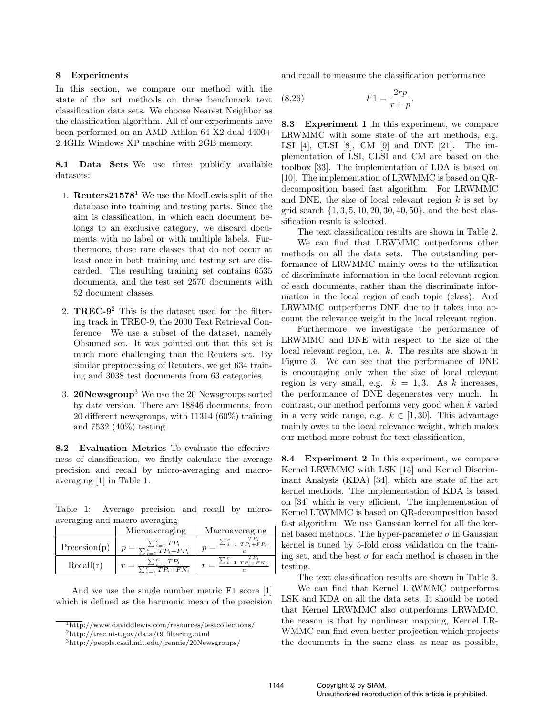### 8 Experiments

In this section, we compare our method with the state of the art methods on three benchmark text classification data sets. We choose Nearest Neighbor as the classification algorithm. All of our experiments have been performed on an AMD Athlon 64 X2 dual 4400+ 2.4GHz Windows XP machine with 2GB memory.

8.1 Data Sets We use three publicly available datasets:

- 1. **Reuters21578**<sup>1</sup> We use the ModLewis split of the database into training and testing parts. Since the aim is classification, in which each document belongs to an exclusive category, we discard documents with no label or with multiple labels. Furthermore, those rare classes that do not occur at least once in both training and testing set are discarded. The resulting training set contains 6535 documents, and the test set 2570 documents with 52 document classes.
- 2. **TREC-9**<sup>2</sup> This is the dataset used for the filtering track in TREC-9, the 2000 Text Retrieval Conference. We use a subset of the dataset, namely Ohsumed set. It was pointed out that this set is much more challenging than the Reuters set. By similar preprocessing of Retuters, we get 634 training and 3038 test documents from 63 categories.
- 3. **20Newsgroup**<sup>3</sup> We use the 20 Newsgroups sorted by date version. There are 18846 documents, from 20 different newsgroups, with 11314 (60%) training and 7532 (40%) testing.

8.2 Evaluation Metrics To evaluate the effectiveness of classification, we firstly calculate the average precision and recall by micro-averaging and macroaveraging [1] in Table 1.

Table 1: Average precision and recall by microaveraging and macro-averaging

|               | Microaveraging                                         | Macroaveraging                       |
|---------------|--------------------------------------------------------|--------------------------------------|
| Precession(p) | $\sum_{i=1}^{\infty} TP_i$<br>$\sum c$ , $TP_i + FP_i$ | $\sum_{i=1}$ $\overline{TP_i+FP_i}$  |
| Recall(r)     | $\sum_{i=1}^{c} T P_i + F N_i$                         | $\sum_{i=1}^{c} \frac{1}{TP_i+FN_j}$ |

And we use the single number metric F1 score [1] which is defined as the harmonic mean of the precision and recall to measure the classification performance

.

$$
(8.26)\qquad \qquad F1 = \frac{2rp}{r+p}
$$

8.3 Experiment 1 In this experiment, we compare LRWMMC with some state of the art methods, e.g. LSI [4], CLSI [8], CM [9] and DNE [21]. The implementation of LSI, CLSI and CM are based on the toolbox [33]. The implementation of LDA is based on [10]. The implementation of LRWMMC is based on QRdecomposition based fast algorithm. For LRWMMC and DNE, the size of local relevant region  $k$  is set by grid search  $\{1, 3, 5, 10, 20, 30, 40, 50\}$ , and the best classification result is selected.

The text classification results are shown in Table 2. We can find that LRWMMC outperforms other methods on all the data sets. The outstanding performance of LRWMMC mainly owes to the utilization of discriminate information in the local relevant region of each documents, rather than the discriminate information in the local region of each topic (class). And LRWMMC outperforms DNE due to it takes into account the relevance weight in the local relevant region.

Furthermore, we investigate the performance of LRWMMC and DNE with respect to the size of the local relevant region, i.e. k. The results are shown in Figure 3. We can see that the performance of DNE is encouraging only when the size of local relevant region is very small, e.g.  $k = 1, 3$ . As k increases, the performance of DNE degenerates very much. In contrast, our method performs very good when k varied in a very wide range, e.g.  $k \in [1, 30]$ . This advantage mainly owes to the local relevance weight, which makes our method more robust for text classification,

8.4 Experiment 2 In this experiment, we compare Kernel LRWMMC with LSK [15] and Kernel Discriminant Analysis (KDA) [34], which are state of the art kernel methods. The implementation of KDA is based on [34] which is very efficient. The implementation of Kernel LRWMMC is based on QR-decomposition based fast algorithm. We use Gaussian kernel for all the kernel based methods. The hyper-parameter  $\sigma$  in Gaussian kernel is tuned by 5-fold cross validation on the training set, and the best  $\sigma$  for each method is chosen in the testing.

The text classification results are shown in Table 3.

We can find that Kernel LRWMMC outperforms LSK and KDA on all the data sets. It should be noted that Kernel LRWMMC also outperforms LRWMMC, the reason is that by nonlinear mapping, Kernel LR-WMMC can find even better projection which projects the documents in the same class as near as possible,

 $\frac{1}{1}$ http://www.daviddlewis.com/resources/testcollections/

 $^{2}$ http://trec.nist.gov/data/t9\_filtering.html

<sup>3</sup>http://people.csail.mit.edu/jrennie/20Newsgroups/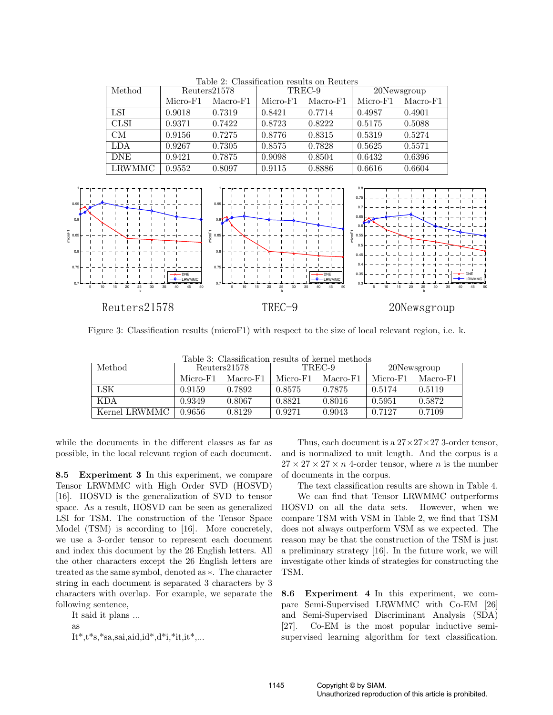| Method      | Reuters21578 |          | TREC-9   |          | 20Newsgroup |          |
|-------------|--------------|----------|----------|----------|-------------|----------|
|             | Micro-F1     | Macro-F1 | Micro-F1 | Macro-F1 | Micro-F1    | Macro-F1 |
| LSI         | 0.9018       | 0.7319   | 0.8421   | 0.7714   | 0.4987      | 0.4901   |
| <b>CLSI</b> | 0.9371       | 0.7422   | 0.8723   | 0.8222   | 0.5175      | 0.5088   |
| <b>CM</b>   | 0.9156       | 0.7275   | 0.8776   | 0.8315   | 0.5319      | 0.5274   |
| <b>LDA</b>  | 0.9267       | 0.7305   | 0.8575   | 0.7828   | 0.5625      | 0.5571   |
| <b>DNE</b>  | 0.9421       | 0.7875   | 0.9098   | 0.8504   | 0.6432      | 0.6396   |
| LRWMMC      | 0.9552       | 0.8097   | 0.9115   | 0.8886   | 0.6616      | 0.6604   |

Table 2: Classification results on Reuters



Figure 3: Classification results (microF1) with respect to the size of local relevant region, i.e. k.

| Method        |          | Reuters21578 | Table 3: Classification results of kernel methods<br>TREC-9 |          | 20Newsgroup |          |
|---------------|----------|--------------|-------------------------------------------------------------|----------|-------------|----------|
|               | Micro-F1 | Macro-F1     | Micro-F1                                                    | Macro-F1 | Micro-F1    | Macro-F1 |
| LSK           | 0.9159   | 0.7892       | 0.8575                                                      | 0.7875   | 0.5174      | 0.5119   |
| <b>KDA</b>    | 0.9349   | 0.8067       | 0.8821                                                      | 0.8016   | 0.5951      | 0.5872   |
| Kernel LRWMMC | 0.9656   | 0.8129       | 0.9271                                                      | 0.9043   | 0.7127      | 0.7109   |

Table 3: Classification results of kernel methods

while the documents in the different classes as far as possible, in the local relevant region of each document.

8.5 Experiment 3 In this experiment, we compare Tensor LRWMMC with High Order SVD (HOSVD) [16]. HOSVD is the generalization of SVD to tensor space. As a result, HOSVD can be seen as generalized LSI for TSM. The construction of the Tensor Space Model (TSM) is according to [16]. More concretely, we use a 3-order tensor to represent each document and index this document by the 26 English letters. All the other characters except the 26 English letters are treated as the same symbol, denoted as ∗. The character string in each document is separated 3 characters by 3 characters with overlap. For example, we separate the following sentence,

It said it plans ... as  $It*, t^*s, *sa, sa, aid, id, d^*d, *it, it*,...$ 

Thus, each document is a  $27 \times 27 \times 27$  3-order tensor, and is normalized to unit length. And the corpus is a  $27 \times 27 \times 27 \times n$  4-order tensor, where *n* is the number of documents in the corpus.

The text classification results are shown in Table 4. We can find that Tensor LRWMMC outperforms HOSVD on all the data sets. However, when we compare TSM with VSM in Table 2, we find that TSM does not always outperform VSM as we expected. The reason may be that the construction of the TSM is just a preliminary strategy [16]. In the future work, we will investigate other kinds of strategies for constructing the TSM.

8.6 Experiment 4 In this experiment, we compare Semi-Supervised LRWMMC with Co-EM [26] and Semi-Supervised Discriminant Analysis (SDA) [27]. Co-EM is the most popular inductive semisupervised learning algorithm for text classification.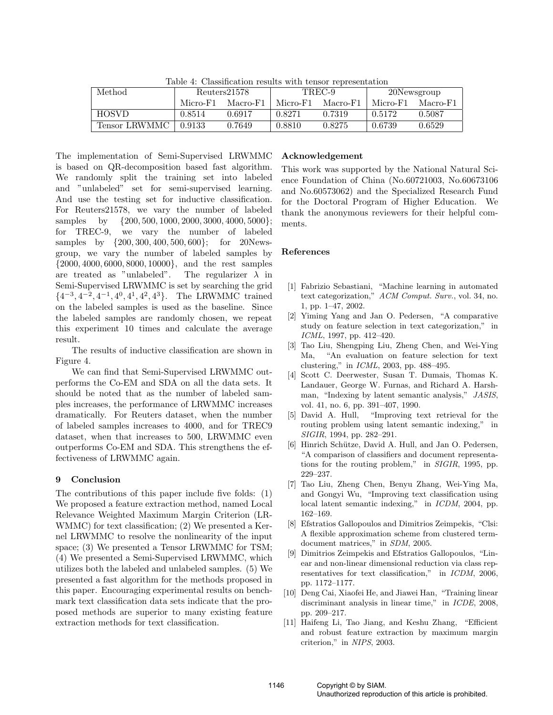| тарк т. Сказыкалон кэмнэ мин ензог гергезендалон |          |              |          |          |             |          |  |
|--------------------------------------------------|----------|--------------|----------|----------|-------------|----------|--|
| Method                                           |          | Reuters21578 | TREC-9   |          | 20Newsgroup |          |  |
|                                                  | Micro-F1 | Macro-F1     | Micro-F1 | Macro-F1 | Micro-F1    | Macro-F1 |  |
| <b>HOSVD</b>                                     | 0.8514   | 0.6917       | 0.8271   | 0.7319   | 0.5172      | 0.5087   |  |
| Tensor LRWMMC                                    | 0.9133   | 0.7649       | 0.8810   | 0.8275   | 0.6739      | 0.6529   |  |

Table 4: Classification results with tensor representation

The implementation of Semi-Supervised LRWMMC is based on QR-decomposition based fast algorithm. We randomly split the training set into labeled and "unlabeled" set for semi-supervised learning. And use the testing set for inductive classification. For Reuters21578, we vary the number of labeled samples by  $\{200, 500, 1000, 2000, 3000, 4000, 5000\};$ for TREC-9, we vary the number of labeled samples by {200, 300, 400, 500, 600}; for 20Newsgroup, we vary the number of labeled samples by {2000, 4000, 6000, 8000, 10000}, and the rest samples are treated as "unlabeled". The regularizer  $\lambda$  in Semi-Supervised LRWMMC is set by searching the grid  $\{4^{-3}, 4^{-2}, 4^{-1}, 4^{0}, 4^{1}, 4^{2}, 4^{3}\}.$  The LRWMMC trained on the labeled samples is used as the baseline. Since the labeled samples are randomly chosen, we repeat this experiment 10 times and calculate the average result.

The results of inductive classification are shown in Figure 4.

We can find that Semi-Supervised LRWMMC outperforms the Co-EM and SDA on all the data sets. It should be noted that as the number of labeled samples increases, the performance of LRWMMC increases dramatically. For Reuters dataset, when the number of labeled samples increases to 4000, and for TREC9 dataset, when that increases to 500, LRWMMC even outperforms Co-EM and SDA. This strengthens the effectiveness of LRWMMC again.

# 9 Conclusion

The contributions of this paper include five folds: (1) We proposed a feature extraction method, named Local Relevance Weighted Maximum Margin Criterion (LR-WMMC) for text classification; (2) We presented a Kernel LRWMMC to resolve the nonlinearity of the input space; (3) We presented a Tensor LRWMMC for TSM; (4) We presented a Semi-Supervised LRWMMC, which utilizes both the labeled and unlabeled samples. (5) We presented a fast algorithm for the methods proposed in this paper. Encouraging experimental results on benchmark text classification data sets indicate that the proposed methods are superior to many existing feature extraction methods for text classification.

# Acknowledgement

This work was supported by the National Natural Science Foundation of China (No.60721003, No.60673106 and No.60573062) and the Specialized Research Fund for the Doctoral Program of Higher Education. We thank the anonymous reviewers for their helpful comments.

# References

- [1] Fabrizio Sebastiani, "Machine learning in automated text categorization," ACM Comput. Surv., vol. 34, no. 1, pp. 1–47, 2002.
- [2] Yiming Yang and Jan O. Pedersen, "A comparative study on feature selection in text categorization," in ICML, 1997, pp. 412–420.
- [3] Tao Liu, Shengping Liu, Zheng Chen, and Wei-Ying Ma, "An evaluation on feature selection for text clustering," in ICML, 2003, pp. 488–495.
- [4] Scott C. Deerwester, Susan T. Dumais, Thomas K. Landauer, George W. Furnas, and Richard A. Harshman, "Indexing by latent semantic analysis," JASIS, vol. 41, no. 6, pp. 391–407, 1990.
- [5] David A. Hull, "Improving text retrieval for the routing problem using latent semantic indexing," in SIGIR, 1994, pp. 282–291.
- [6] Hinrich Schütze, David A. Hull, and Jan O. Pedersen, "A comparison of classifiers and document representations for the routing problem," in SIGIR, 1995, pp. 229–237.
- [7] Tao Liu, Zheng Chen, Benyu Zhang, Wei-Ying Ma, and Gongyi Wu, "Improving text classification using local latent semantic indexing," in ICDM, 2004, pp. 162–169.
- [8] Efstratios Gallopoulos and Dimitrios Zeimpekis, "Clsi: A flexible approximation scheme from clustered termdocument matrices," in SDM, 2005.
- [9] Dimitrios Zeimpekis and Efstratios Gallopoulos, "Linear and non-linear dimensional reduction via class representatives for text classification," in ICDM, 2006, pp. 1172–1177.
- [10] Deng Cai, Xiaofei He, and Jiawei Han, "Training linear discriminant analysis in linear time," in ICDE, 2008, pp. 209–217.
- [11] Haifeng Li, Tao Jiang, and Keshu Zhang, "Efficient and robust feature extraction by maximum margin criterion," in NIPS, 2003.